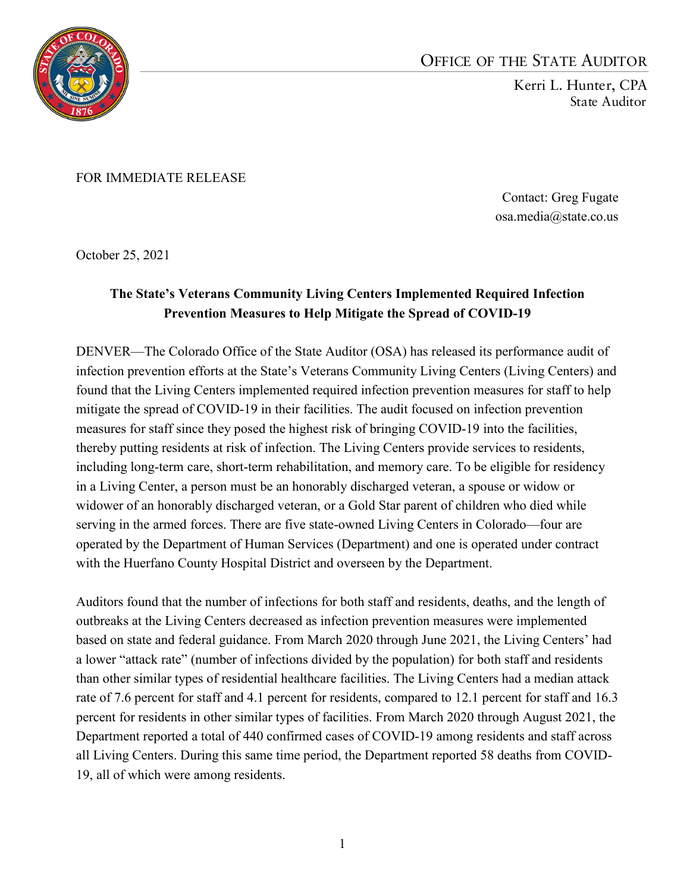

## OFFICE OF THE STATE AUDITOR

Kerri L. Hunter, CPA State Auditor

FOR IMMEDIATE RELEASE

Contact: Greg Fugate osa.media@state.co.us

October 25, 2021

## **The State's Veterans Community Living Centers Implemented Required Infection Prevention Measures to Help Mitigate the Spread of COVID-19**

DENVER—The Colorado Office of the State Auditor (OSA) has released its performance audit of infection prevention efforts at the State's Veterans Community Living Centers (Living Centers) and found that the Living Centers implemented required infection prevention measures for staff to help mitigate the spread of COVID-19 in their facilities. The audit focused on infection prevention measures for staff since they posed the highest risk of bringing COVID-19 into the facilities, thereby putting residents at risk of infection. The Living Centers provide services to residents, including long-term care, short-term rehabilitation, and memory care. To be eligible for residency in a Living Center, a person must be an honorably discharged veteran, a spouse or widow or widower of an honorably discharged veteran, or a Gold Star parent of children who died while serving in the armed forces. There are five state-owned Living Centers in Colorado—four are operated by the Department of Human Services (Department) and one is operated under contract with the Huerfano County Hospital District and overseen by the Department.

Auditors found that the number of infections for both staff and residents, deaths, and the length of outbreaks at the Living Centers decreased as infection prevention measures were implemented based on state and federal guidance. From March 2020 through June 2021, the Living Centers' had a lower "attack rate" (number of infections divided by the population) for both staff and residents than other similar types of residential healthcare facilities. The Living Centers had a median attack rate of 7.6 percent for staff and 4.1 percent for residents, compared to 12.1 percent for staff and 16.3 percent for residents in other similar types of facilities. From March 2020 through August 2021, the Department reported a total of 440 confirmed cases of COVID-19 among residents and staff across all Living Centers. During this same time period, the Department reported 58 deaths from COVID-19, all of which were among residents.